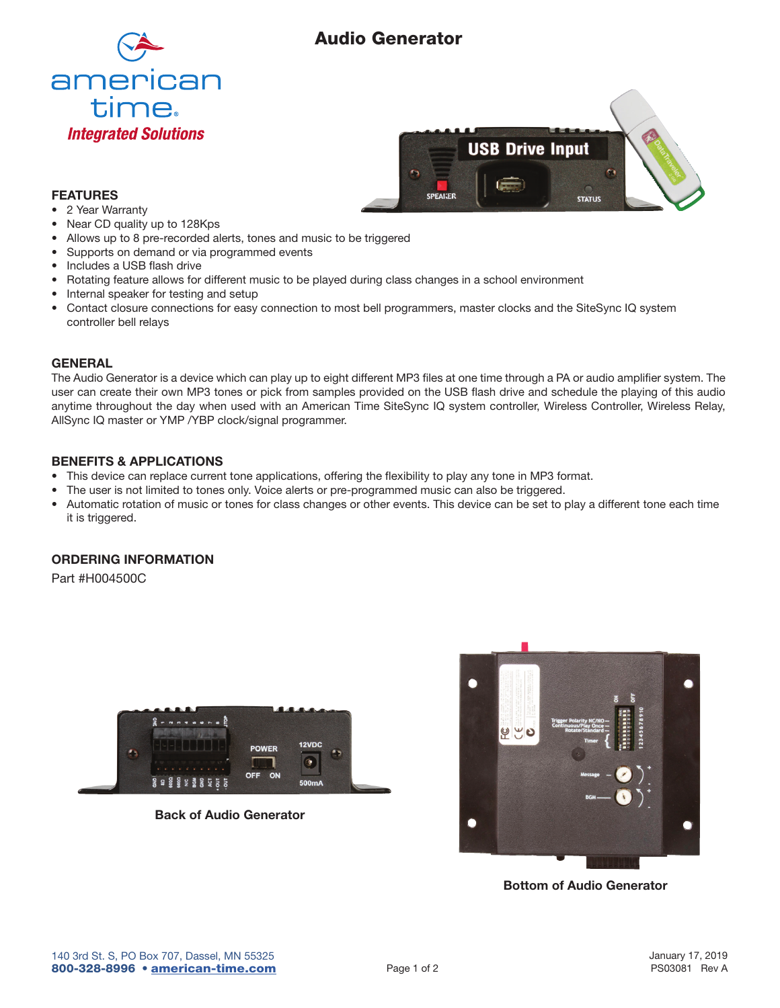# Audio Generator





## FEATURES

- 2 Year Warranty
- Near CD quality up to 128Kps
- Allows up to 8 pre-recorded alerts, tones and music to be triggered
- Supports on demand or via programmed events
- Includes a USB flash drive
- Rotating feature allows for different music to be played during class changes in a school environment
- Internal speaker for testing and setup
- Contact closure connections for easy connection to most bell programmers, master clocks and the SiteSync IQ system controller bell relays

## **GENERAL**

The Audio Generator is a device which can play up to eight different MP3 files at one time through a PA or audio amplifier system. The user can create their own MP3 tones or pick from samples provided on the USB flash drive and schedule the playing of this audio anytime throughout the day when used with an American Time SiteSync IQ system controller, Wireless Controller, Wireless Relay, AllSync IQ master or YMP /YBP clock/signal programmer.

# BENEFITS & APPLICATIONS

- This device can replace current tone applications, offering the flexibility to play any tone in MP3 format.
- The user is not limited to tones only. Voice alerts or pre-programmed music can also be triggered.
- Automatic rotation of music or tones for class changes or other events. This device can be set to play a different tone each time it is triggered.

# ORDERING INFORMATION

Part #H004500C



Back of Audio Generator



Bottom of Audio Generator